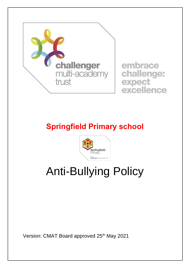

# **Springfield Primary school**



# Anti-Bullying Policy

Version: CMAT Board approved 25<sup>th</sup> May 2021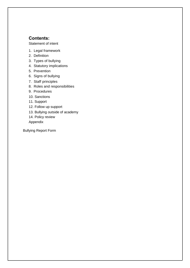#### **Contents:**

Statement of intent

- 1. Legal framework
- 2. Definition
- 3. Types of bullying
- 4. Statutory implications
- 5. Prevention
- 6. Signs of bullying
- 7. Staff principles
- 8. Roles and responsibilities
- 9. Procedures
- 10. Sanctions
- 11. Support
- 12. Follow up support
- 13. Bullying outside of academy
- 14. Policy review
- Appendix

Bullying Report Form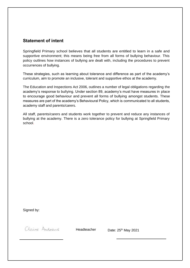#### **Statement of intent**

Springfield Primary school believes that all students are entitled to learn in a safe and supportive environment; this means being free from all forms of bullying behaviour. This policy outlines how instances of bullying are dealt with, including the procedures to prevent occurrences of bullying.

These strategies, such as learning about tolerance and difference as part of the academy's curriculum, aim to promote an inclusive, tolerant and supportive ethos at the academy.

The Education and Inspections Act 2006, outlines a number of legal obligations regarding the academy's response to bullying. Under section 89, academy's must have measures in place to encourage good behaviour and prevent all forms of bullying amongst students. These measures are part of the academy's Behavioural Policy, which is communicated to all students, academy staff and parents/carers.

All staff, parents/carers and students work together to prevent and reduce any instances of bullying at the academy. There is a zero tolerance policy for bullying at Springfield Primary school.

Signed by:

Claire Andrews

Headteacher Date: 25<sup>th</sup> May 2021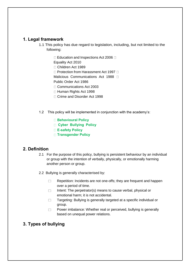#### **1. Legal framework**

- 1.1 This policy has due regard to legislation, including, but not limited to the following:
	- $\Box$  Education and Inspections Act 2006  $\Box$

Equality Act 2010

Children Act 1989

 $\Box$  Protection from Harassment Act 1997  $\Box$ 

Malicious Communications Act 1988

Public Order Act 1986

- □ Communications Act 2003
- □ Human Rights Act 1998
- □ Crime and Disorder Act 1998
- 1.2 This policy will be implemented in conjunction with the academy's:
	- **Behavioural Policy**
	- **Cyber Bullying Policy**
	- **E-safety Policy**
	- **Transgender Policy**

#### **2. Definition**

- 2.1 For the purpose of this policy, bullying is persistent behaviour by an individual or group with the intention of verbally, physically, or emotionally harming another person or group.
- 2.2 Bullying is generally characterised by:
	- $\Box$ Repetition: Incidents are not one-offs; they are frequent and happen over a period of time.
	- $\Box$ Intent: The perpetrator(s) means to cause verbal, physical or emotional harm; it is not accidental.
	- $\Box$ Targeting: Bullying is generally targeted at a specific individual or group.
	- Power imbalance: Whether real or perceived, bullying is generally  $\Box$ based on unequal power relations.

# **3. Types of bullying**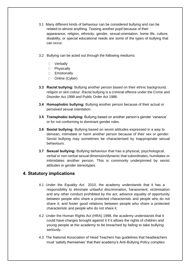- 3.1 Many different kinds of behaviour can be considered bullying and can be related to almost anything. Teasing another pupil because of their appearance, religion, ethnicity, gender, sexual-orientation, home life, culture, disability, or special educational needs are some of the types of bullying that can occur.
- 3.2 Bullying can be acted out through the following mediums:
	- D Verbally
	- D Physically
	- D Emotionally
	- □ Online (Cyber)
- **3.3 Racist bullying:** Bullying another person based on their ethnic background, religion or skin colour. Racist bullying is a criminal offence under the Crime and Disorder Act 1998 and Public Order Act 1986.
- **3.4 Homophobic bullying:** Bullying another person because of their actual or perceived sexual orientation.
- **3.5 Transphobic bullying:** Bullying based on another person's gender 'variance' or for not conforming to dominant gender roles.
- **3.6 Sexist bullying:** Bullying based on sexist attitudes expressed in a way to demean, intimidate or harm another person because of their sex or gender. Sexist bullying may sometimes be characterised by inappropriate sexual behaviours.
- **3.7 Sexual bullying:** Bullying behaviour that has a physical, psychological, verbal or non-verbal sexual dimension/dynamic that subordinates, humiliates or intimidates another person. This is commonly underpinned by sexist attitudes or gender stereotypes.

#### **4. Statutory implications**

- 4.1 Under the Equality Act 2010, the academy understands that it has a responsibility to eliminate unlawful discrimination, harassment, victimisation and any other conduct prohibited by the act; advance equality of opportunity between people who share a protected characteristic and people who do not share it; and foster good relations between people who share a protected characteristic and people who do not share it.
- 4.2 Under the Human Rights Act (HRA) 1998, the academy understands that it could have charges brought against it if it allows the rights of children and young people at the academy to be breached by failing to take bullying seriously.
- 4.3 The National Association of Head Teachers has guidelines that headteachers must 'satisfy themselves' that their academy's Anti-Bullying Policy complies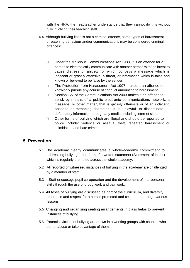with the HRA; the headteacher understands that they cannot do this without fully involving their teaching staff.

- 4.4 Although bullying itself is not a criminal offence, some types of harassment, threatening behaviour and/or communications may be considered criminal offences:
	- Under the Malicious Communications Act 1988, it is an offence for a  $\Box$ person to electronically communicate with another person with the intent to cause distress or anxiety, or which conveys a message which is indecent or grossly offensive, a threat, or information which is false and known or believed to be false by the sender.
	- The Protection from Harassment Act 1997 makes it an offence to  $\Box$ knowingly pursue any course of conduct amounting to harassment.
	- $\Box$ Section 127 of the Communications Act 2003 makes it an offence to send, by means of a public electronic communications network, a message, or other matter, that is grossly offensive or of an indecent, obscene or menacing character. It is unlawful to disseminate defamatory information through any media, including internet sites.
	- Other forms of bullying which are illegal and should be reported to  $\Box$ police include: violence or assault, theft, repeated harassment or intimidation and hate crimes.

#### **5. Prevention**

- 5.1 The academy clearly communicates a whole-academy commitment to addressing bullying in the form of a written statement (Statement of intent) which is regularly promoted across the whole academy.
- 5.2 All reported or witnessed instances of bullying in the academy are challenged by a member of staff.
- 5.3 Staff encourage pupil co-operation and the development of interpersonal skills through the use of group work and pair work.
- 5.4 All types of bullying are discussed as part of the curriculum, and diversity, difference and respect for others is promoted and celebrated through various lessons.
- 5.5 Changing and organising seating arrangements in class helps to prevent instances of bullying.
- 5.6 Potential victims of bullying are drawn into working groups with children who do not abuse or take advantage of them.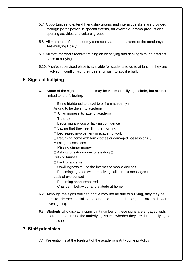- 5.7 Opportunities to extend friendship groups and interactive skills are provided through participation in special events, for example, drama productions, sporting activities and cultural groups.
- 5.8 All members of the academy community are made aware of the academy's Anti-Bullying Policy
- 5.9 All staff members receive training on identifying and dealing with the different types of bullying
- 5.10. A safe, supervised place is available for students to go to at lunch if they are involved in conflict with their peers, or wish to avoid a bully.

# **6. Signs of bullying**

- 6.1 Some of the signs that a pupil may be victim of bullying include, but are not limited to, the following:
	- $\Box$  Being frightened to travel to or from academy  $\Box$

Asking to be driven to academy

- □ Unwillingness to attend academy
- □ Truancy
- $\Box$  Becoming anxious or lacking confidence
- $\Box$  Saying that they feel ill in the morning
- Decreased involvement in academy work
- $\Box$  Returning home with torn clothes or damaged possessions  $\Box$ Missing possessions
- $\Box$  Missing dinner money
- $\Box$  Asking for extra money or stealing  $\Box$
- Cuts or bruises
- $\Box$  Lack of appetite
- $\Box$  Unwillingness to use the internet or mobile devices
- $\square$  Becoming agitated when receiving calls or text messages  $\square$ Lack of eye contact
- □ Becoming short tempered
- $\Box$  Change in behaviour and attitude at home
- 6.2 Although the signs outlined above may not be due to bullying, they may be due to deeper social, emotional or mental issues, so are still worth investigating.
- 6.3 Students who display a significant number of these signs are engaged with, in order to determine the underlying issues, whether they are due to bullying or other issues.

#### **7. Staff principles**

7.1 Prevention is at the forefront of the academy's Anti-Bullying Policy.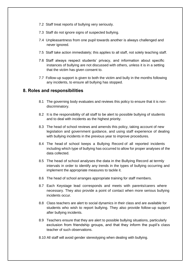- 7.2 Staff treat reports of bullying very seriously.
- 7.3 Staff do not ignore signs of suspected bullying.
- 7.4 Unpleasantness from one pupil towards another is always challenged and never ignored.
- 7.5 Staff take action immediately; this applies to all staff, not solely teaching staff.
- 7.6 Staff always respect students' privacy, and information about specific instances of bullying are not discussed with others, unless it is in a setting that the victim has given consent to.
- 7.7 Follow-up support is given to both the victim and bully in the months following any incidents, to ensure all bullying has stopped.

#### **8. Roles and responsibilities**

- 8.1 The governing body evaluates and reviews this policy to ensure that it is nondiscriminatory.
- 8.2 It is the responsibility of all staff to be alert to possible bullying of students and to deal with incidents as the highest priority.
- 8.3 The head of school reviews and amends this policy, taking account of new legislation and government guidance, and using staff experience of dealing with bullying incidents in the previous year to improve procedures.
- 8.4 The head of school keeps a Bullying Record of all reported incidents including which type of bullying has occurred to allow for proper analyses of the data collected.
- 8.5 The head of school analyses the data in the Bullying Record at termly intervals in order to identify any trends in the types of bullying occurring and implement the appropriate measures to tackle it.
- 8.6 The head of school arranges appropriate training for staff members.
- 8.7 Each Keystage lead corresponds and meets with parents/carers where necessary. They also provide a point of contact when more serious bullying incidents occur.
- 8.8 Class teachers are alert to social dynamics in their class and are available for students who wish to report bullying. They also provide follow-up support after bullying incidents.
- 8.9 Teachers ensure that they are alert to possible bullying situations, particularly exclusion from friendship groups, and that they inform the pupil's class teacher of such observations.
- 8.10 All staff will avoid gender stereotyping when dealing with bullying.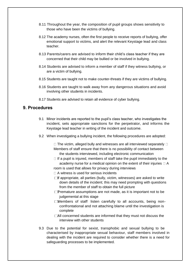- 8.11 Throughout the year, the composition of pupil groups shows sensitivity to those who have been the victims of bullying.
- 8.12 The academy nurses, often the first people to receive reports of bullying, offer emotional support to victims, and alert the relevant Keystage lead and class teacher.
- 8.13 Parents/carers are advised to inform their child's class teacher if they are concerned that their child may be bullied or be involved in bullying.
- 8.14 Students are advised to inform a member of staff if they witness bullying, or are a victim of bullying.
- 8.15 Students are taught not to make counter-threats if they are victims of bullying.
- 8.16 Students are taught to walk away from any dangerous situations and avoid involving other students in incidents.
- 8.17 Students are advised to retain all evidence of cyber bullying.

#### **9. Procedures**

- 9.1 Minor incidents are reported to the pupil's class teacher, who investigates the incident, sets appropriate sanctions for the perpetrator, and informs the Keystage lead teacher in writing of the incident and outcome.
- 9.2 When investigating a bullying incident, the following procedures are adopted:

 $\Box$  The victim, alleged bully and witnesses are all interviewed separately  $\Box$ Members of staff ensure that there is no possibility of contact between the students interviewed, including electronic communication

- $\Box$  If a pupil is injured, members of staff take the pupil immediately to the academy nurse for a medical opinion on the extent of their injuries  $\Box$  A room is used that allows for privacy during interviews
- $\Box$  A witness is used for serious incidents
- $\Box$  f appropriate, all parties (bully, victim, witnesses) are asked to write down details of the incident; this may need prompting with questions from the member of staff to obtain the full picture
- $\Box$ Premature assumptions are not made, as it is important not to be judgemental at this stage
- Members of staff listen carefully to all accounts, being nonconfrontational and not attaching blame until the investigation is complete
- All concerned students are informed that they must not discuss the interview with other students
- 9.3 Due to the potential for sexist, transphobic and sexual bullying to be characterised by inappropriate sexual behaviour, staff members involved in dealing with the incident are required to consider whether there is a need for safeguarding processes to be implemented.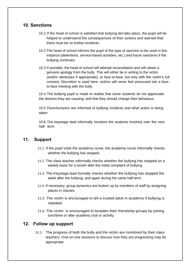#### **10. Sanctions**

- 10.1 If the head of school is satisfied that bullying did take place, the pupil will be helped to understand the consequences of their actions and warned that there must be no further incidents.
- 10.2 The head of school informs the pupil of the type of sanction to be used in this instance (detentions, service-based activities, etc.) and future sanctions if the bullying continues.
- 10.3 If possible, the head of school will attempt reconciliation and will obtain a genuine apology from the bully. This will either be in writing to the victim (and/or witnesses if appropriate), or face-to-face, but only with the victim's full consent. Discretion is used here; victims will never feel pressured into a faceto-face meeting with the bully.

10.4 The bullying pupil is made to realise that some students do not appreciate the distress they are causing, and that they should change their behaviour.

10.5 Parents/carers are informed of bullying incidents and what action is being taken

10.6 The keystage lead informally monitors the students involved over the next half- term.

#### **11. Support**

- 11.1. If the pupil visits the academy nurse, the academy nurse informally checks whether the bullying has stopped.
- 11.2. The class teacher informally checks whether the bullying has stopped on a weekly basis for a month after the initial complaint of bullying.
- 11.3. The Keystage lead formally checks whether the bullying has stopped the week after the bullying, and again during the same half term.
- 11.4. If necessary, group dynamics are broken up by members of staff by assigning places in classes.
- 11.5. The victim is encouraged to tell a trusted adult in academy if bullying is repeated.
- 11.6. The victim is encouraged to broaden their friendship groups by joining lunchtime or after-academy club or activity.

# **12. Follow up support**

12.1. The progress of both the bully and the victim are monitored by their class teachers. One-on-one sessions to discuss how they are progressing may be appropriate.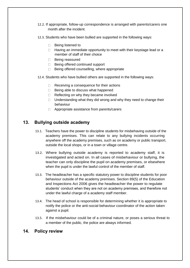- 12.2. If appropriate, follow-up correspondence is arranged with parents/carers one month after the incident.
- 12.3. Students who have been bullied are supported in the following ways:
	- □ Being listened to
	- $\Box$  Having an immediate opportunity to meet with their keystage lead or a member of staff of their choice
	- □ Being reassured
	- Being offered continued support
	- $\Box$  Being offered counselling, where appropriate
- 12.4. Students who have bullied others are supported in the following ways:
	- $\Box$  Receiving a consequence for their actions
	- $\Box$  Being able to discuss what happened
	- $\Box$  Reflecting on why they became involved
	- $\Box$  Understanding what they did wrong and why they need to change their behaviour
	- □ Appropriate assistance from parents/carers

# **13. Bullying outside academy**

- 13.1. Teachers have the power to discipline students for misbehaving outside of the academy premises. This can relate to any bullying incidents occurring anywhere off the academy premises, such as on academy or public transport, outside the local shops, or in a town or village centre.
- 13.2. Where bullying outside academy is reported to academy staff, it is investigated and acted on. In all cases of misbehaviour or bullying, the teacher can only discipline the pupil on academy premises, or elsewhere when the pupil is under the lawful control of the member of staff.
- 13.3. The headteacher has a specific statutory power to discipline students for poor behaviour outside of the academy premises. Section 89(5) of the Education and Inspections Act 2006 gives the headteacher the power to regulate students' conduct when they are not on academy premises, and therefore not under the lawful charge of a academy staff member.
- 13.4. The head of school is responsible for determining whether it is appropriate to notify the police or the anti-social behaviour coordinator of the action taken against a pupil.
- 13.5. If the misbehaviour could be of a criminal nature, or poses a serious threat to a member of the public, the police are always informed.

#### **14. Policy review**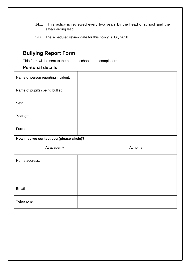- 14.1. This policy is reviewed every two years by the head of school and the safeguarding lead.
- 14.2. The scheduled review date for this policy is July 2018.

# **Bullying Report Form**

This form will be sent to the head of school upon completion:

# **Personal details**

| Name of person reporting incident:      |  |  |         |  |
|-----------------------------------------|--|--|---------|--|
| Name of pupil(s) being bullied:         |  |  |         |  |
| Sex:                                    |  |  |         |  |
| Year group:                             |  |  |         |  |
| Form:                                   |  |  |         |  |
| How may we contact you (please circle)? |  |  |         |  |
|                                         |  |  |         |  |
| At academy                              |  |  | At home |  |
| Home address:                           |  |  |         |  |
|                                         |  |  |         |  |
|                                         |  |  |         |  |
| Email:                                  |  |  |         |  |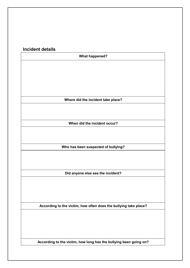# **Incident details**

| <b>What happened?</b>                                             |  |  |
|-------------------------------------------------------------------|--|--|
|                                                                   |  |  |
|                                                                   |  |  |
|                                                                   |  |  |
|                                                                   |  |  |
|                                                                   |  |  |
| Where did the incident take place?                                |  |  |
|                                                                   |  |  |
|                                                                   |  |  |
|                                                                   |  |  |
| When did the incident occur?                                      |  |  |
|                                                                   |  |  |
|                                                                   |  |  |
| Who has been suspected of bullying?                               |  |  |
|                                                                   |  |  |
|                                                                   |  |  |
|                                                                   |  |  |
| Did anyone else see the incident?                                 |  |  |
|                                                                   |  |  |
|                                                                   |  |  |
|                                                                   |  |  |
|                                                                   |  |  |
| According to the victim, how often does the bullying take place?  |  |  |
|                                                                   |  |  |
|                                                                   |  |  |
|                                                                   |  |  |
|                                                                   |  |  |
| According to the victim, how long has the bullying been going on? |  |  |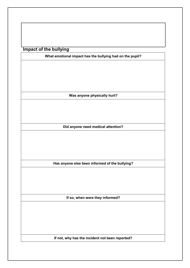**Impact of the bullying**

**Was anyone physically hurt?**

**What emotional impact has the bullying had on the pupil?**

**Did anyone need medical attention?**

**Has anyone else been informed of the bullying?**

**If so, when were they informed?**

**If not, why has the incident not been reported?**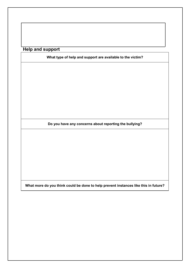**Help and support**

**What type of help and support are available to the victim?**

**Do you have any concerns about reporting the bullying?**

**What more do you think could be done to help prevent instances like this in future?**